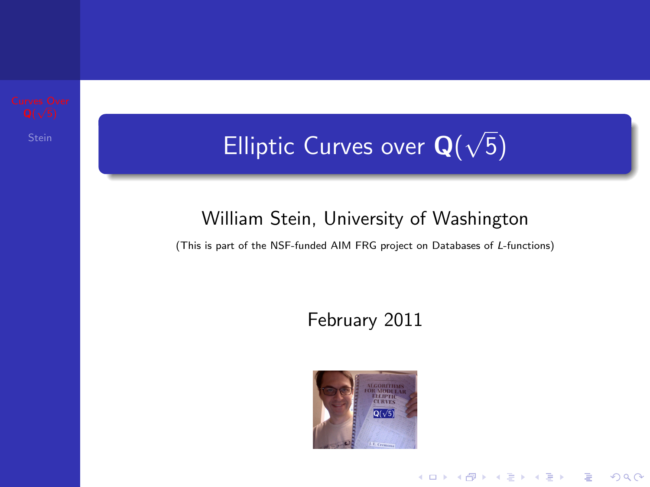

#### $\mathsf{S}_\mathsf{train}$  Elliptic Curves over  $\mathsf{Q}(n)$ √ 5)

#### William Stein, University of Washington

<span id="page-0-0"></span>(This is part of the NSF-funded AIM FRG project on Databases of L-functions)

#### February 2011



**KORK ERKER ADE YOUR**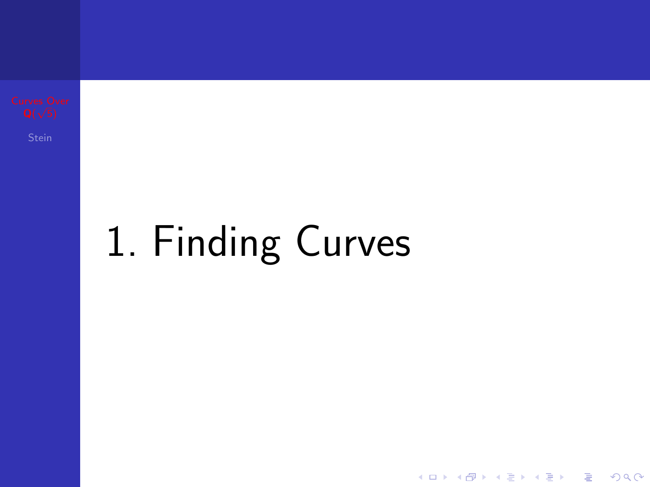# 1. Finding Curves

イロト イ母 トイミト イミト ニヨー りんぴ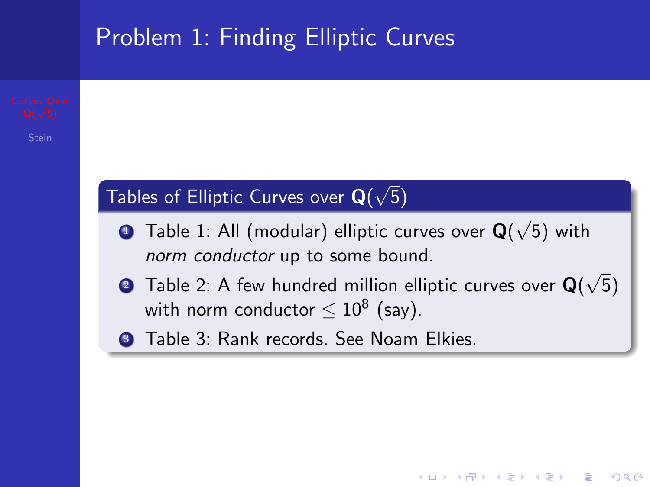

<span id="page-2-0"></span>**KORK ERKER ADE YOUR**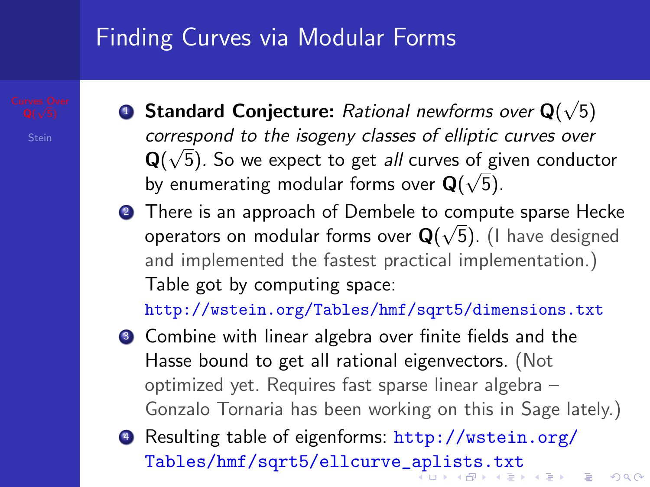## Finding Curves via Modular Forms

- $\textbf{\textcolor{red}{\bullet}}$  Standard Conjecture: Rational newforms over Q( √ 5) correspond to the isogeny classes of elliptic curves over  $\mathsf{Q}(\sqrt{5})$ . So we expect to get *all* curves of given conductor by enumerating modular forms over  $\mathbf{Q}(\sqrt{5})$ .
- **∂** There is an approach of Dembele to compute sparse Hecke operators on modular forms over  $\mathbf{Q}(\sqrt{5})$ . (I have designed and implemented the fastest practical implementation.) Table got by computing space:

<http://wstein.org/Tables/hmf/sqrt5/dimensions.txt>

- <sup>3</sup> Combine with linear algebra over finite fields and the Hasse bound to get all rational eigenvectors. (Not optimized yet. Requires fast sparse linear algebra – Gonzalo Tornaria has been working on this in Sage lately.)
- <span id="page-3-0"></span><sup>4</sup> Resulting table of eigenforms: [http://wstein.org/](http://wstein.org/Tables/hmf/sqrt5/ellcurve_aplists.txt) [Tables/hmf/sqrt5/ellcurve\\_aplists.txt](http://wstein.org/Tables/hmf/sqrt5/ellcurve_aplists.txt)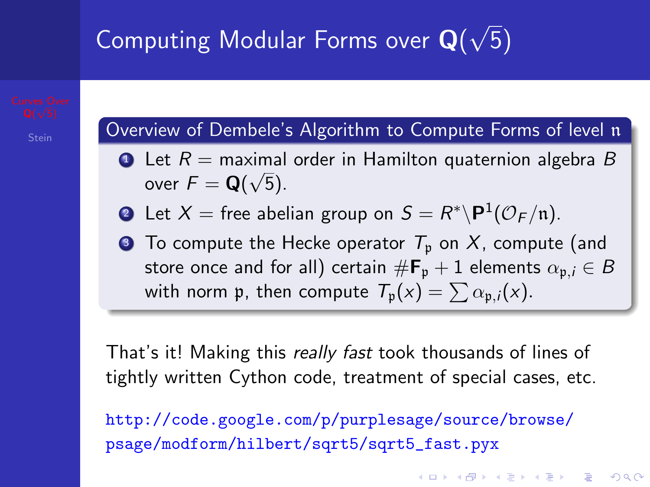#### Computing Modular Forms over  $\mathbf{Q}(t)$ 5)

Overview of Dembele's Algorithm to Compute Forms of level n

- $\bullet$  Let  $R =$  maximal order in Hamilton quaternion algebra  $B$ over  $\mathcal{F} = \mathbf{Q}(\sqrt{5})$ .
- $\bullet\hspace{0.1cm}$  Let  $X=$  free abelian group on  $\mathcal{S}=R^*\backslash\mathsf{P}^1(\mathcal{O}_F/\mathfrak{n}).$
- $\bullet$  To compute the Hecke operator  $T_p$  on X, compute (and store once and for all) certain  $\#\mathbf{F}_{p} + 1$  elements  $\alpha_{p,i} \in B$ with norm p, then compute  $T_p(x) = \sum \alpha_{p,i}(x)$ .

That's it! Making this really fast took thousands of lines of tightly written Cython code, treatment of special cases, etc.

<span id="page-4-0"></span>[http://code.google.com/p/purplesage/source/browse/](http://code.google.com/p/purplesage/source/browse/psage/modform/hilbert/sqrt5/sqrt5_fast.pyx) [psage/modform/hilbert/sqrt5/sqrt5\\_fast.pyx](http://code.google.com/p/purplesage/source/browse/psage/modform/hilbert/sqrt5/sqrt5_fast.pyx)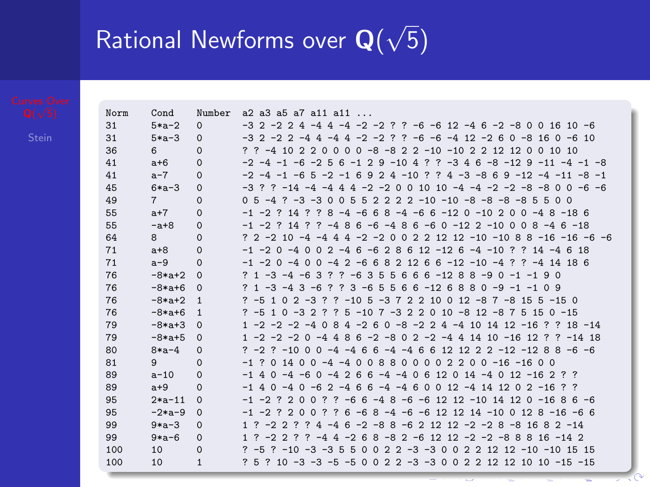#### Rational Newforms over  $\mathbf{Q}(t)$ 5)

| Norm | Cond           | Number       | $a2$ $a3$ $a5$ $a7$ $a11$ $a11$ $a1$ .                                                                            |
|------|----------------|--------------|-------------------------------------------------------------------------------------------------------------------|
| 31   | $5 * a - 2$    | $\Omega$     | $-3$ 2 $-2$ 2 4 $-4$ 4 $-4$ $-2$ $-2$ ? ? $-6$ $-6$ 12 $-4$ 6 $-2$ $-8$ 0 0 16 10 $-6$                            |
| 31   | $5*a-3$        | $\Omega$     | $-3$ 2 $-2$ 2 $-4$ 4 $-4$ 4 $-2$ $-2$ ?<br>$? -6 -6 -4 12 -2 6 0 -8 16 0 -6 10$                                   |
| 36   | 6              | $\Omega$     | 0 0 0 -8 -8 2 2 -10 -10 2 2 12 12 0 0 10 10<br>??<br>$-4$ 10 2 2 0                                                |
| 41   | $a+6$          | $\Omega$     | $-2$ $-4$ $-1$ $-6$ $-2$ 5 6 $-1$ 2 9 $-10$ 4 ? ? $-3$ 4 6 $-8$ $-12$ 9 $-11$ $-4$ $-1$ $-8$                      |
| 41   | $a-7$          | $\Omega$     | $-2$ $-4$ $-1$ $-6$ 5 $-2$ $-1$ 6 9 2 4 $-10$ ? ? 4 $-3$ $-8$ 6 9 $-12$ $-4$ $-11$ $-8$ $-1$                      |
| 45   | $6 * a - 3$    | $\Omega$     | $-2$ $-2$ 0 0 10 10 $-4$ $-4$ $-2$ $-2$ $-8$ $-8$ 0 0 $-6$ $-6$<br>$7 - 14 - 4 - 44$<br>$-32$<br>4                |
| 49   | $\overline{7}$ | $\Omega$     | $2$ 2 2 $2$ -10 -10 -8 -8 -8 -8 5<br>$0.5 - 4.7 - 3 - 3.0$<br>-5<br>-5<br>-5<br>n n<br>$\Omega$                   |
| 55   | $a+7$          | $\Omega$     | $-1$ $-2$ ? 14 ? ? 8 $-4$ $-6$ 6 8 $-4$ $-6$ 6 $-12$ 0 $-10$ 2 0 0 $-4$ 8 $-18$ 6                                 |
| 55   | $-a+8$         | $\Omega$     | $7 - 486 - 6 - 486 - 60 - 122 - 10008 - 46 - 18$<br>$-1$ $-2$ $2$ $14$ $2$                                        |
| 64   | 8              | $\Omega$     | ? 2 -2 10 -4 -4 4 4 -2 -2 0 0 2 2 12 12 -10 -10 8 8 -16 -16 -6 -6                                                 |
| 71   | $a+8$          | $\Omega$     | $-1$ $-2$ 0 $-4$ 0 0 2 $-4$ 6 $-6$ 2 8 6 12 $-12$ 6 $-4$ $-10$ ? ? 14 $-4$ 6 18                                   |
| 71   | $a-9$          | $\Omega$     | $-1$ $-2$ 0 $-4$ 0 0 $-4$ 2 $-6$ 6 8 2 12 6 6 $-12$ $-10$ $-4$ ? ? $-4$ 14 18 6                                   |
| 76   | $-8*at+2$      | $\Omega$     | 35<br>6 6 6 -12 8 8 -9 0 -1 -1 9 0<br>$? 1 - 3 - 4 - 6 3 ?$<br>$.7 - 6$<br>- 5                                    |
| 76   | $-8*a+6$       | $\Omega$     | $? 3 - 6.5$<br>-5<br>$66 - 126880 - 9 - 1 - 1$<br>$21 - 3 - 43$<br>$-6$<br>$\overline{\mathbf{z}}$<br>09          |
| 76   | $-8*at+2$      | 1            | $? -5102 -3?$ $? -105 -372210012 -87 -8155 -150$                                                                  |
| 76   | $-8*at6$       | 1            | $? -510 -32?$<br>$5 - 10$ 7 $-3$ 2 2 0 10 $-8$ 12 $-8$ 7 5 15 0 $-15$<br>-2                                       |
| 79   | $-8*at+3$      | $\Omega$     | $0 - 8 - 2$ 2 4 $-4$ 10 14 12 $-16$ 2<br>1 -2 -2 -2 -4 0<br>$84 - 26$<br>$7.18 - 14$                              |
| 79   | $-8*at+5$      | $\Omega$     | 1 -2 -2 -2 0 -4 4 8 6 -2 -8 0 2 -2 -4 4 14 10 -16 12 ? ? -14 18                                                   |
| 80   | $8 * a - 4$    | $\Omega$     | $7 - 2$ $7 - 10$ 0 0 $-4$ $-4$ 6 6 $-4$ $-4$ 6 6 12 12 2 2 $-12$ $-12$ 8 8 $-6$ $-6$                              |
| 81   | 9              | $\Omega$     | 088<br>00002200-16-1600<br>$-1$<br>7<br>$0, 14, 0, 0, -4, -4, 0$                                                  |
| 89   | $a - 10$       | $\Omega$     | $6 - 4 - 40612014 - 4012 - 162?$<br>$-1$ 4 0 $-4$ $-6$ 0 $-4$ 2 6                                                 |
| 89   | $a+9$          | $\Omega$     | $-1$ 4 0 $-4$ 0 $-6$ 2 $-4$ 6<br>$6 - 4 - 4$ 6 0 0 12 $-4$ 14 12 0 2 $-16$ ? ?                                    |
| 95   | $2*a-11$       | $\Omega$     | $? -66 -48 -6 -61212 -1014120 -1686 -6$<br>$-1$ $-2$ ? ? 0 0 ?                                                    |
| 95   | $-2*a-9$       | $\Omega$     | $6 - 6$ 8 $-4$ $-6$ $-6$ 12 12 14 $-10$ 0 12 8 $-16$ $-6$ 6<br>2<br>7<br>$-1$ $-2$ ?<br>$\Omega$<br>$\Omega$<br>7 |
| 99   | $9*a-3$        | $\Omega$     | $6 - 2 - 8$ 8 - 6 2 12 12 - 2 - 2 8 - 8 16 8 2 - 14<br>$1$ ?<br>$-2.2$<br>?<br>?<br>$4 - 4$                       |
| 99   | $9*a-6$        | $\Omega$     | $4 - 268 - 82 - 61212 - 2 - 2 - 88816 - 142$<br>1 <sup>2</sup><br>$-222$<br>7<br>$-4$                             |
| 100  | 10             | $\Omega$     | $2$ 2 -3 -3 0 0 2 2 12 12 -10 -10 15 15<br>$2 - 10 - 3 - 35$<br>-5<br>$2 - 5$<br>$\Omega$<br>$\Omega$             |
| 100  | 10             | $\mathbf{1}$ | ? 5 ? 10 -3 -3 -5 -5 0 0 2 2 -3 -3 0 0 2 2 12 12 10 10 -15 -15                                                    |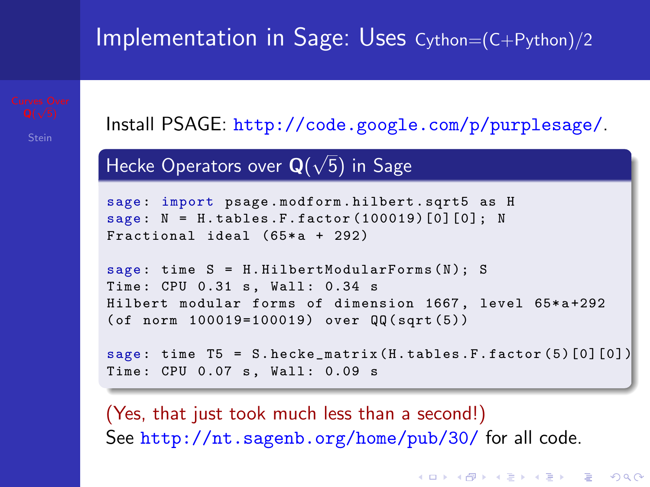## Implementation in Sage: Uses Cython=(C+Python)/2

Install PSAGE: <http://code.google.com/p/purplesage/>.

Hecke Operators over  $\mathbf{Q}(t)$ √ 5) in Sage

```
sage : import psage . modform . hilbert . sqrt5 as H
sage: N = H.tables.F.factor (100019)[0][0]; N
Fractional ideal (65*a + 292)
```

```
sage: time S = H.HilbertModular Forms(N); STime: CPU 0.31 s, Wall: 0.34 s
Hilbert modular forms of dimension 1667, level 65*a+292
( of norm 100019=100019) over QQ ( sqrt (5))
```

```
sage: time T5 = S. hecke_matrix (H. tables .F. factor (5) [0] [0])
Time: CPU 0.07 s, Wall: 0.09 s
```
(Yes, that just took much less than a second!) See <http://nt.sagenb.org/home/pub/30/> for all code.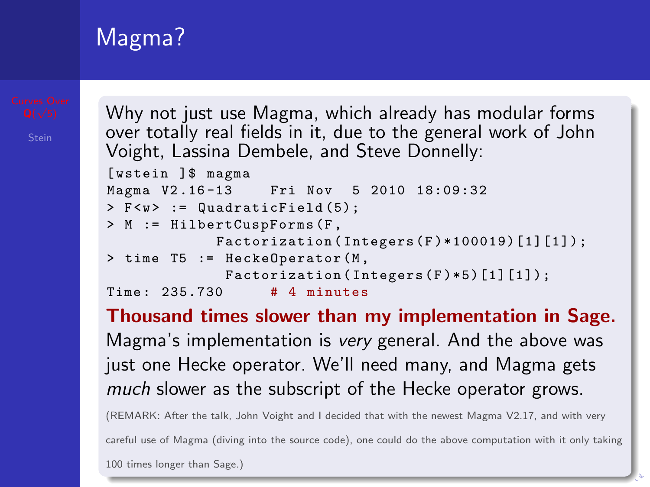## Magma?

Why not just use Magma, which already has modular forms over totally real fields in it, due to the general work of John Voight, Lassina Dembele, and Steve Donnelly: [wstein ]\$ magma<br>Magma V2.16-13 Fri Nov 5 2010 18:09:32

```
> F <w > := Quadratic Field (5);
> M := HilbertCuspForms (F ,
             Factorization (Integers (F)*100019)[1][1]);
> time T5 := HeckeOperator (M ,
              Factorization (Integers (F) * 5) [1][1]);
Time : 235.730 # 4 minutes
```
Thousand times slower than my implementation in Sage. Magma's implementation is very general. And the above was just one Hecke operator. We'll need many, and Magma gets much slower as the subscript of the Hecke operator grows.

(REMARK: After the talk, John Voight and I decided that with the newest Magma V2.17, and with very careful use of Magma (diving into the source code), one could do the above computation with it only taking

100 times longer than Sage.)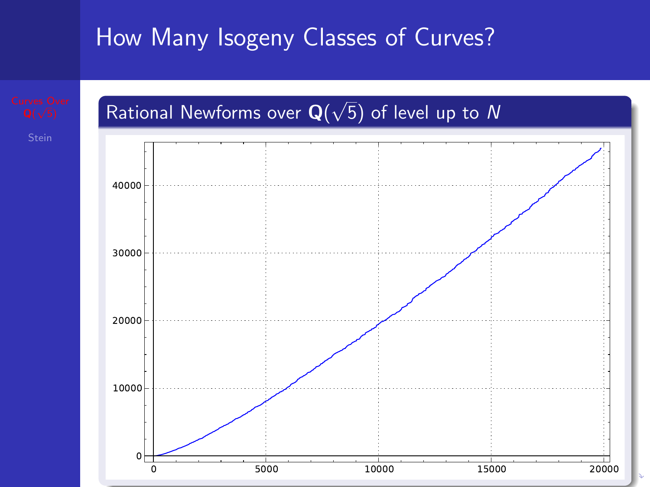## How Many Isogeny Classes of Curves?



<span id="page-8-0"></span>

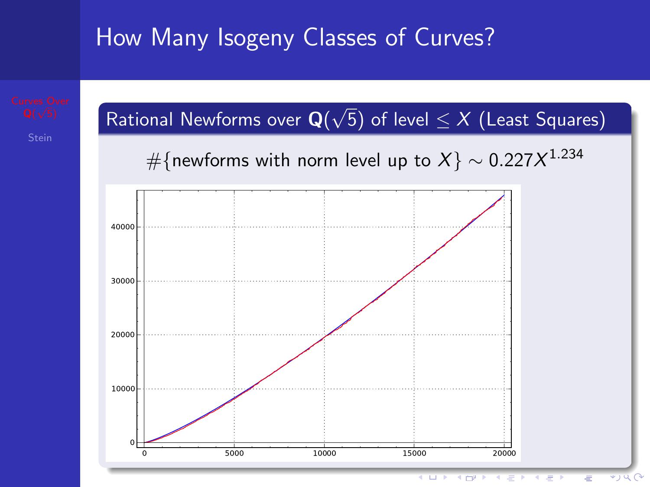## How Many Isogeny Classes of Curves?

<span id="page-9-0"></span>

 $= -1$ Ξ  $\ast$ *y*  $\alpha$   $\alpha$ я.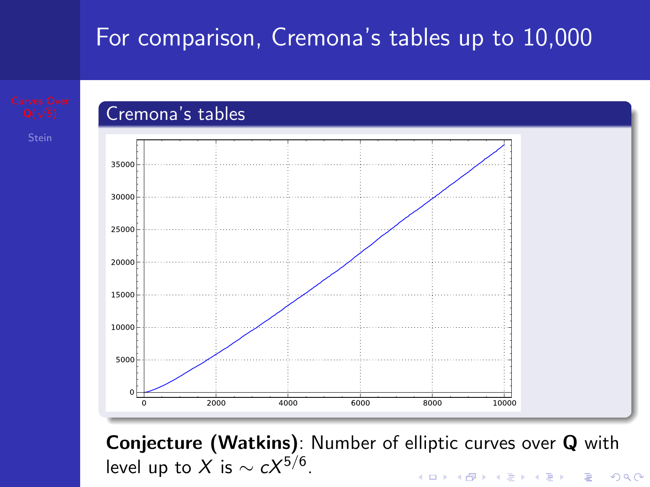## For comparison, Cremona's tables up to 10,000



<span id="page-10-0"></span>Conjecture (Watkins): Number of elliptic curves over Q with level up to  $X$  is  $\sim cX^{5/6}.$ **KORKARYKERKE PROGRAM**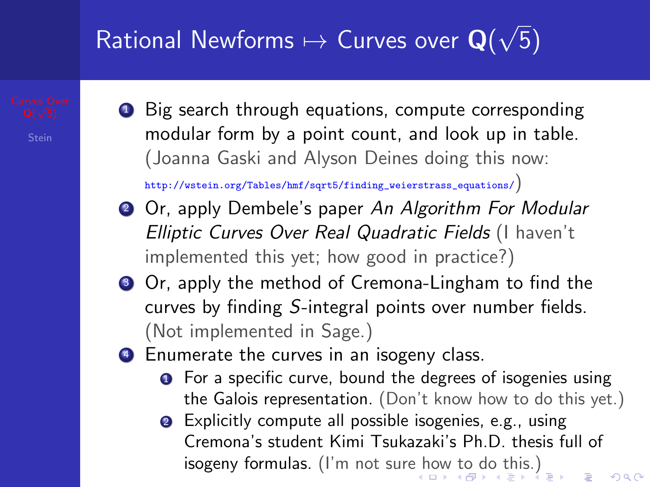#### Rational Newforms  $\mapsto$  Curves over  $\mathbf{Q}(t)$ √ 5)

● Big search through equations, compute corresponding modular form by a point count, and look up in table. (Joanna Gaski and Alyson Deines doing this now:

[http://wstein.org/Tables/hmf/sqrt5/finding\\_weierstrass\\_equations/](http://wstein.org/Tables/hmf/sqrt5/finding_weierstrass_equations/))

- **2** Or, apply Dembele's paper An Algorithm For Modular Elliptic Curves Over Real Quadratic Fields (I haven't implemented this yet; how good in practice?)
- **3** Or, apply the method of Cremona-Lingham to find the curves by finding S-integral points over number fields. (Not implemented in Sage.)
- <span id="page-11-0"></span>**4** Enumerate the curves in an isogeny class.
	- **•** For a specific curve, bound the degrees of isogenies using the Galois representation. (Don't know how to do this yet.)
	- **2** Explicitly compute all possible isogenies, e.g., using Cremona's student Kimi Tsukazaki's Ph.D. thesis full of **isogeny formulas.** (I'm not sur[e h](#page-10-0)[ow](#page-12-0) [t](#page-10-0)[o](#page-11-0) [d](#page-12-0)[o t](#page-0-0)[his](#page-33-0)[.\)](#page-0-0)<br> $\sum_{x \in \mathbb{R}^n} \sum_{x \in \mathbb{R}^n} x \cdot \sum_{x \in \mathbb{R}^n} x \cdot \sum_{x \in \mathbb{R}^n} x \cdot \sum_{x \in \mathbb{R}^n} x \cdot \sum_{x \in \mathbb{R}^n} x \cdot \sum_{x \in \mathbb{R}^n} x \cdot \sum_{x \in \mathbb{R}^n} x \cdot \sum_{x \in \mathbb{R}^n} x \cdot \sum_{x \in \mathbb{R$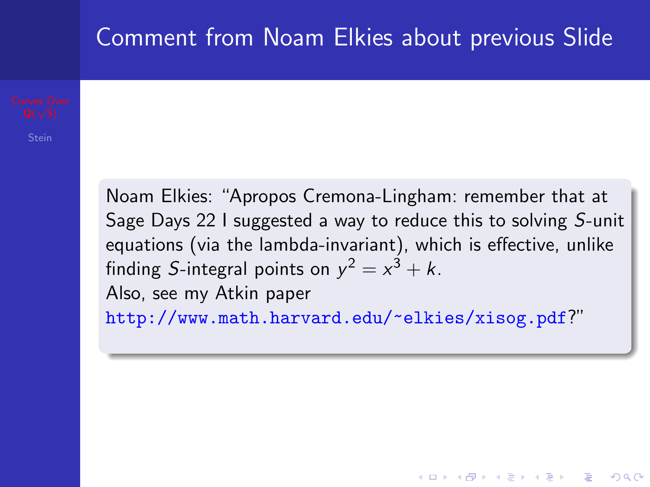### Comment from Noam Elkies about previous Slide

<span id="page-12-0"></span>Noam Elkies: "Apropos Cremona-Lingham: remember that at Sage Days 22 I suggested a way to reduce this to solving S-unit equations (via the lambda-invariant), which is effective, unlike finding S-integral points on  $y^2 = x^3 + k$ . Also, see my Atkin paper <http://www.math.harvard.edu/~elkies/xisog.pdf>?"

**KORKAR KERKER E VOOR**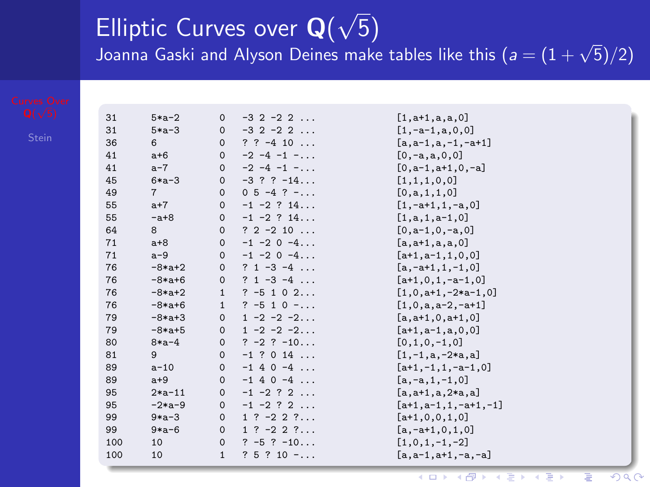#### Elliptic Curves over  $\mathbf{Q}(t)$ √ 5)  $\sum_{i=1}^{n}$  Gaski and Alyson Deines make tables like this  $(a = (1 + \sqrt{5})/2)$

| 31  | $5*a-2$     | $\circ$      | $-3$ 2 $-2$ 2 $\dots$        | $[1, a+1, a, a, 0]$     |
|-----|-------------|--------------|------------------------------|-------------------------|
| 31  | $5*a-3$     | $\circ$      | $-3$ 2 $-2$ 2 $\dots$        | $[1,-a-1,a,0,0]$        |
| 36  | 6           | $\Omega$     | $? ? -4 10 $                 | $[a, a-1, a, -1, -a+1]$ |
| 41  | $a+6$       | $\mathbf 0$  | $-2$ $-4$ $-1$ $-$           | $[0,-a,a,0,0]$          |
| 41  | $a-7$       | $\Omega$     | $-2$ $-4$ $-1$ $-$           | $[0, a-1, a+1, 0, -a]$  |
| 45  | $6 * a - 3$ | $\Omega$     | $-3$ ? ? $-14$               | [1,1,1,0,0]             |
| 49  | 7           | $\Omega$     | $0\ 5\ -4\ ?\ -\dots$        | [0, a, 1, 1, 0]         |
| 55  | $a+7$       | $\Omega$     | $-1$ $-2$ ? $14$             | $[1, -a+1, 1, -a, 0]$   |
| 55  | $- a + 8$   | $\Omega$     | $-1$ $-2$ ? $14$             | $[1,a,1,a-1,0]$         |
| 64  | 8           | $\Omega$     | $? 2 - 2 10 $                | $[0, a-1, 0, -a, 0]$    |
| 71  | $a+8$       | $\circ$      | $-1$ $-2$ 0 $-4$             | $[a, a+1, a, a, 0]$     |
| 71  | $a-9$       | $\circ$      | $-1$ $-2$ 0 $-4$             | $[a+1,a-1,1,0,0]$       |
| 76  | $-8*a+2$    | $\circ$      | $? 1 - 3 - 4$                | $[a,-a+1,1,-1,0]$       |
| 76  | $-8*at+6$   | $\Omega$     | $? 1 - 3 - 4$                | $[a+1,0,1,-a-1,0]$      |
| 76  | $-8*at+2$   | $\mathbf{1}$ | $? -5102$                    | $[1,0,a+1,-2*a-1,0]$    |
| 76  | $-8*at+6$   | 1            | $? -510 - $                  | $[1,0,a,a-2,-a+1]$      |
| 79  | $-8*a+3$    | $\Omega$     | $1 - 2 - 2 - 2$              | $[a, a+1, 0, a+1, 0]$   |
| 79  | $-8*at+5$   | $\Omega$     | $1 - 2 - 2 - 2$              | $[a+1,a-1,a,0,0]$       |
| 80  | $8 * a - 4$ | $\Omega$     | $? -2 ? -10$                 | $[0.1.0,-1.0]$          |
| 81  | $9^{\circ}$ | $\circ$      | $-1$ ? 0 14                  | $[1,-1,a,-2*a,a]$       |
| 89  | $a-10$      | $\circ$      | $-1$ 4 0 $-4$                | $[a+1,-1,1,-a-1,0]$     |
| 89  | $a+9$       | $\circ$      | $-1$ 4 0 $-4$                | $[a,-a,1,-1,0]$         |
| 95  | $2*a-11$    | $\Omega$     | $-1$ $-2$ ? 2                | $[a, a+1, a, 2*a, a]$   |
| 95  | $-2*a-9$    | $\mathbf 0$  | $-1$ $-2$ ? 2                | $[a+1,a-1,1,-a+1,-1]$   |
| 99  | $9*a-3$     | $\Omega$     | $1 \t ? -2 \t 2 \t ? \ldots$ | $[a+1,0,0,1,0]$         |
| 99  | $9*a-6$     | $\Omega$     | $1$ ? $-2$ 2 ?               | $[a,-a+1,0,1,0]$        |
| 100 | 10          | $\Omega$     | $? -5 ? -10$                 | $[1,0,1,-1,-2]$         |
| 100 | 10          | 1            | $? 5 ? 10 - \ldots$          | $[a, a-1, a+1, -a, -a]$ |
|     |             |              |                              |                         |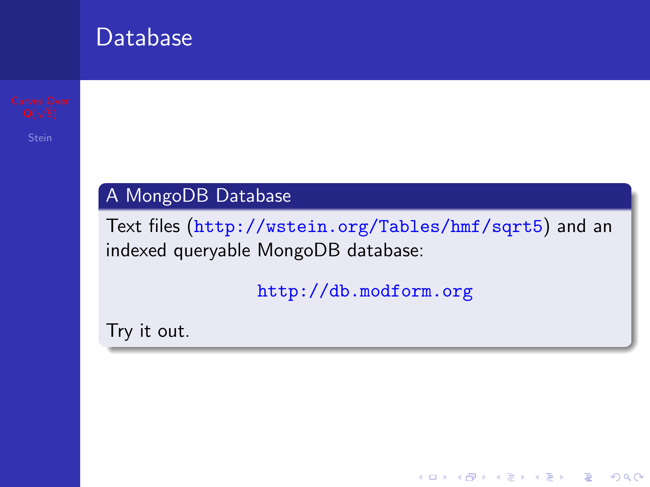#### Database

#### A MongoDB Database

Text files (<http://wstein.org/Tables/hmf/sqrt5>) and an indexed queryable MongoDB database:

<http://db.modform.org>

**KORK ERKER ADE YOUR** 

Try it out.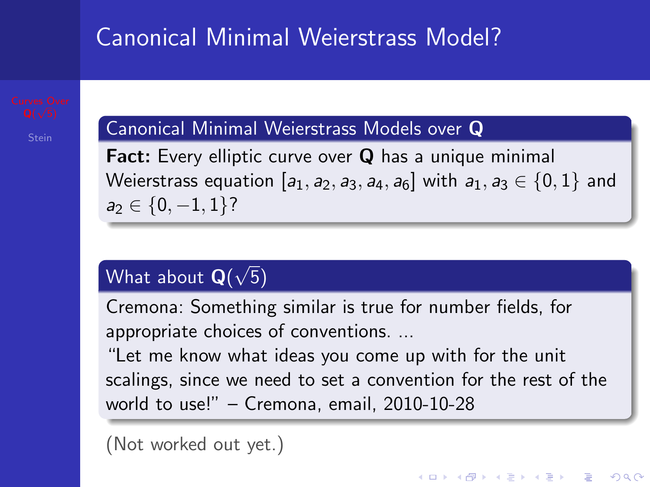## Canonical Minimal Weierstrass Model?

#### Canonical Minimal Weierstrass Models over Q

Fact: Every elliptic curve over Q has a unique minimal Weierstrass equation  $[a_1, a_2, a_3, a_4, a_6]$  with  $a_1, a_3 \in \{0, 1\}$  and  $a_2 \in \{0, -1, 1\}$ ?

#### What about  $\mathbf{Q}($ √ 5)

Cremona: Something similar is true for number fields, for appropriate choices of conventions. ...

"Let me know what ideas you come up with for the unit scalings, since we need to set a convention for the rest of the world to use!" – Cremona, email, 2010-10-28

(Not worked out yet.)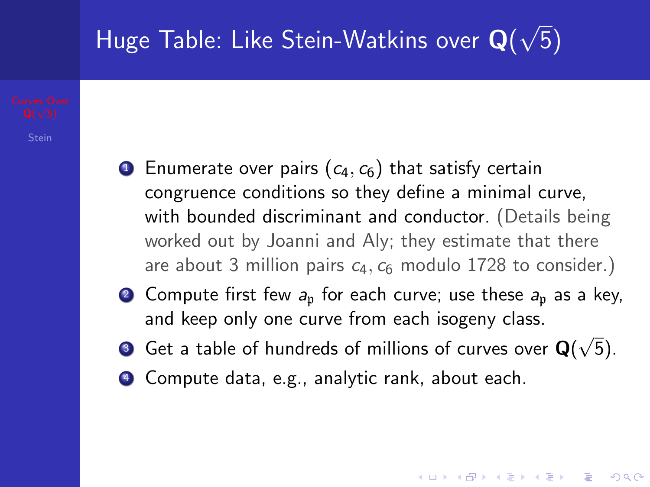#### Huge Table: Like Stein-Watkins over  $\mathbf{Q}($ 5)

- **1** Enumerate over pairs  $(c_4, c_6)$  that satisfy certain congruence conditions so they define a minimal curve, with bounded discriminant and conductor. (Details being worked out by Joanni and Aly; they estimate that there are about 3 million pairs  $c_4$ ,  $c_6$  modulo 1728 to consider.)
- 2 Compute first few  $a_n$  for each curve; use these  $a_n$  as a key, and keep only one curve from each isogeny class.
- $\bullet$  Get a table of hundreds of millions of curves over  $\mathsf{Q}(x)$ √ 5).

KID KA KERKER E VOOR

<sup>4</sup> Compute data, e.g., analytic rank, about each.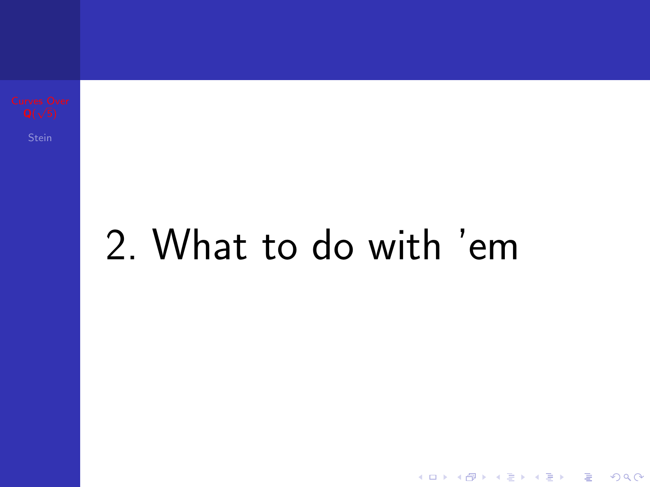# 2. What to do with 'em

イロト イ御 トイミト イミト ニミー りんぴ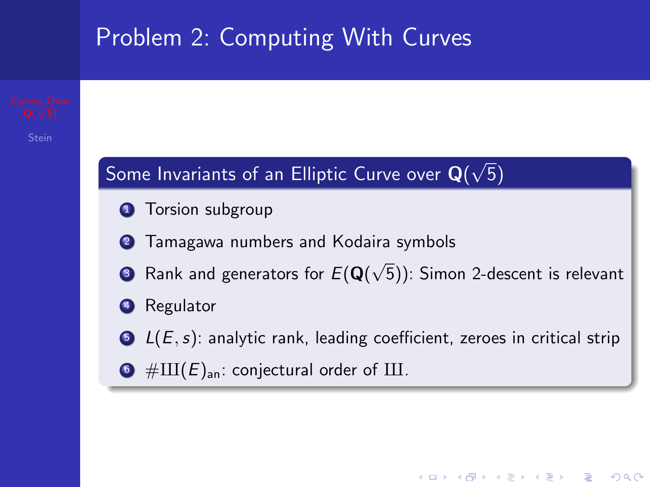

**KORK ERKER ADE YOUR**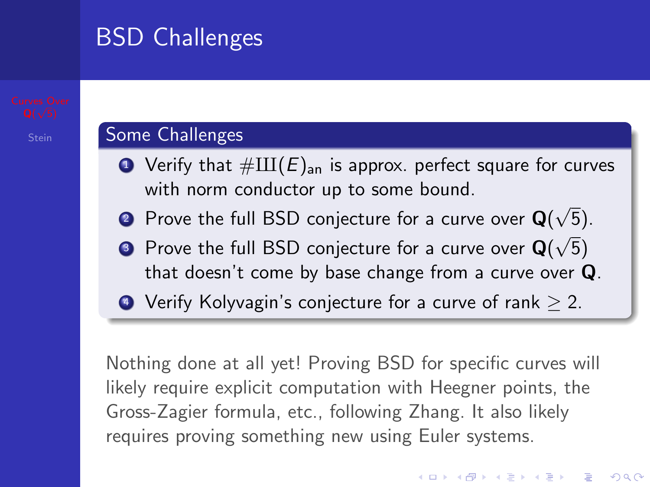## BSD Challenges

#### Some Challenges

- $\bullet$  Verify that  $\#\amalg(E)_{\text{an}}$  is approx. perfect square for curves with norm conductor up to some bound. √
- $\bullet$  Prove the full BSD conjecture for a curve over  $\mathsf{Q}(t)$  $\sqrt{5}$ ).
- $\bullet$  Prove the full BSD conjecture for a curve over  $\mathbf{Q}(\sqrt{5})$ that doesn't come by base change from a curve over Q.
- $\bullet$  Verify Kolyvagin's conjecture for a curve of rank  $> 2$ .

Nothing done at all yet! Proving BSD for specific curves will likely require explicit computation with Heegner points, the Gross-Zagier formula, etc., following Zhang. It also likely requires proving something new using Euler systems.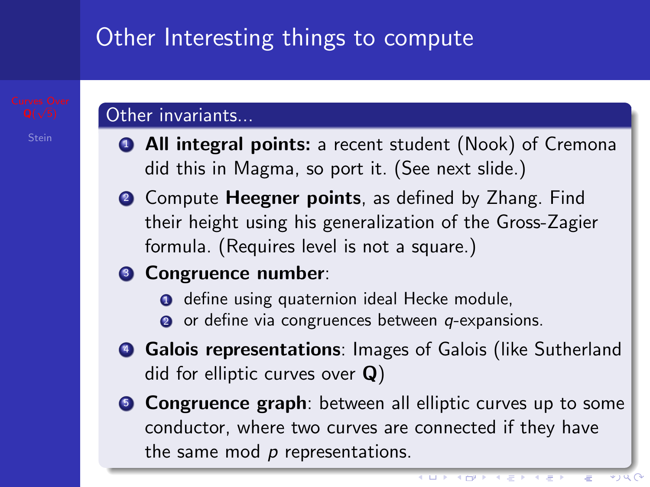## Other Interesting things to compute

#### Other invariants...

- **4 All integral points:** a recent student (Nook) of Cremona did this in Magma, so port it. (See next slide.)
- **2** Compute **Heegner points**, as defined by Zhang. Find their height using his generalization of the Gross-Zagier formula. (Requires level is not a square.)

#### **3 Congruence number:**

- **O** define using quaternion ideal Hecke module,
- $\bullet$  or define via congruences between q-expansions.
- **4 Galois representations:** Images of Galois (like Sutherland did for elliptic curves over  $Q$ )
- **6 Congruence graph**: between all elliptic curves up to some conductor, where two curves are connected if they have the same mod  $p$  representations.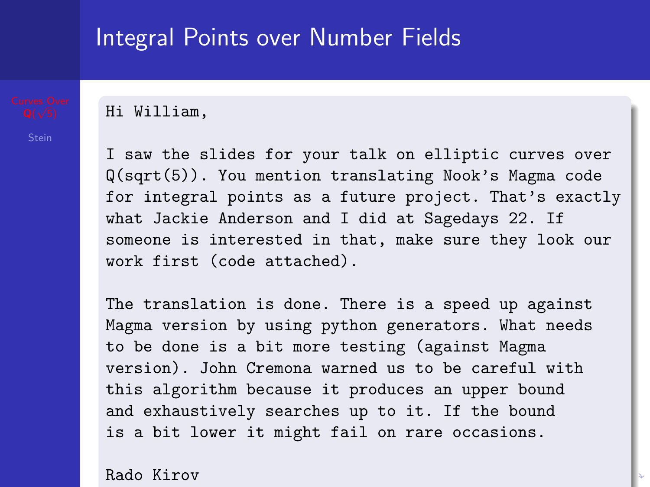#### Integral Points over Number Fields

Hi William,

I saw the slides for your talk on elliptic curves over Q(sqrt(5)). You mention translating Nook's Magma code for integral points as a future project. That's exactly what Jackie Anderson and I did at Sagedays 22. If someone is interested in that, make sure they look our work first (code attached).

The translation is done. There is a speed up against Magma version by using python generators. What needs to be done is a bit more testing (against Magma version). John Cremona warned us to be careful with this algorithm because it produces an upper bound and exhaustively searches up to it. If the bound is a bit lower it might fail on rare occasions.

Rado Kirov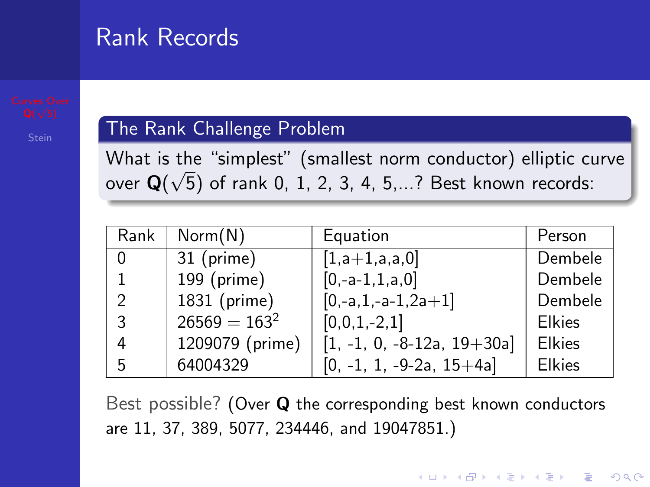### Rank Records

#### The Rank Challenge Problem

What is the "simplest" (smallest norm conductor) elliptic curve over  $\mathbf{Q}(\sqrt{5})$  of rank 0, 1, 2, 3, 4, 5,...? Best known records:

| Rank | Norm(N)         | Equation                     | Person        |
|------|-----------------|------------------------------|---------------|
| 0    | 31 (prime)      | $[1,a+1,a,a,0]$              | Dembele       |
| 1    | 199 (prime)     | $[0,-a-1,1,a,0]$             | Dembele       |
| 2    | 1831 (prime)    | $[0,-a,1,-a-1,2a+1]$         | Dembele       |
| 3    | $26569 = 163^2$ | $[0,0,1,-2,1]$               | <b>Elkies</b> |
| 4    | 1209079 (prime) | $[1, -1, 0, -8-12a, 19+30a]$ | <b>Elkies</b> |
| 5    | 64004329        | $[0, -1, 1, -9-2a, 15+4a]$   | <b>Elkies</b> |

Best possible? (Over Q the corresponding best known conductors are 11, 37, 389, 5077, 234446, and 19047851.)

4 D > 4 P + 4 B + 4 B + B + 9 Q O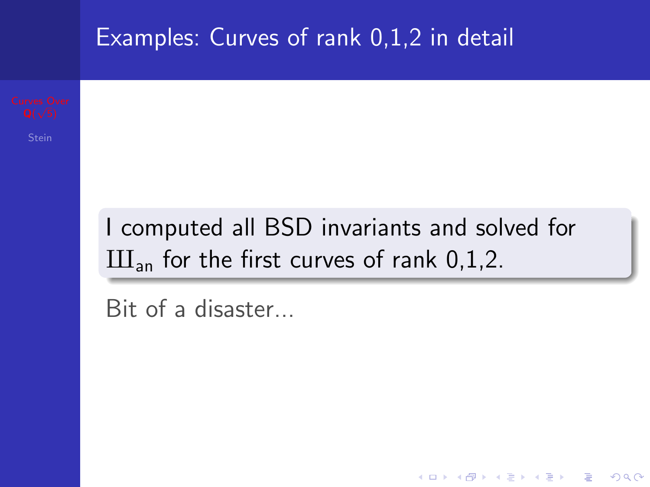

<span id="page-23-0"></span>K ロ ▶ K @ ▶ K 할 > K 할 > 1 할 > 1 이익어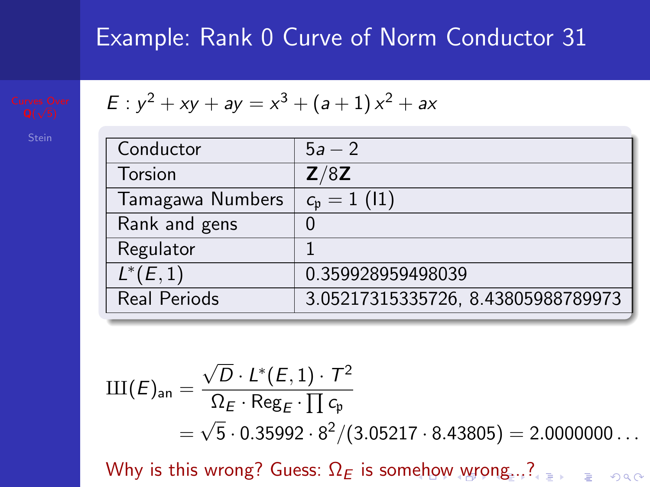$$
\begin{array}{c}\text{Curves Ov} \\
\text{Q}(\sqrt{5})\n\end{array}
$$

$$
E: y^2 + xy + ay = x^3 + (a+1)x^2 + ax
$$

| Conductor           | $5a - 2$                                 |
|---------------------|------------------------------------------|
| Torsion             | Z/8Z                                     |
| Tamagawa Numbers    | $\overline{c_{\mathfrak{p}}}=1\,\, (11)$ |
| Rank and gens       |                                          |
| Regulator           |                                          |
| $L^{*}(E, 1)$       | 0.359928959498039                        |
| <b>Real Periods</b> | 3.05217315335726, 8.43805988789973       |

$$
III(E)_{an} = \frac{\sqrt{D} \cdot L^*(E,1) \cdot T^2}{\Omega_E \cdot \text{Reg}_E \cdot \prod c_p} = \sqrt{5} \cdot 0.35992 \cdot 8^2 / (3.05217 \cdot 8.43805) = 2.0000000...
$$

<span id="page-24-0"></span>Whyis this [wr](#page-24-0)[o](#page-25-0)[ng](#page-0-0)[?](#page-0-0) Guess:  $\Omega_E$  is som[eh](#page-23-0)[ow](#page-25-0) wrong[...](#page-33-0)?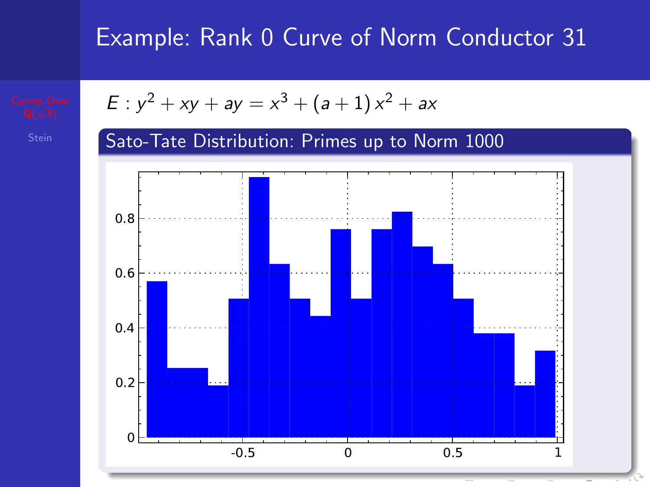<span id="page-25-0"></span>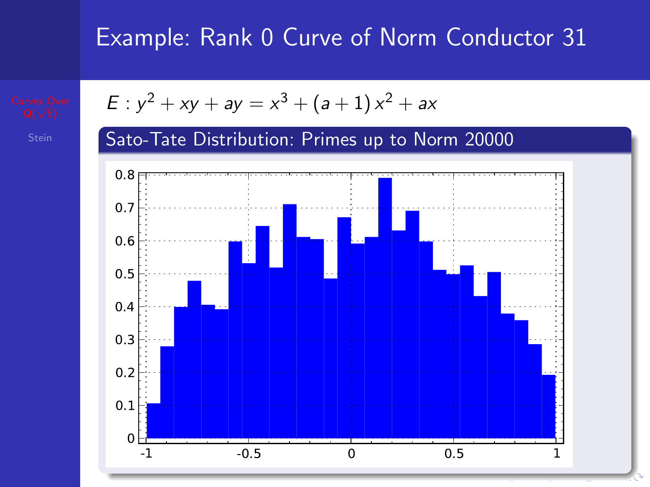

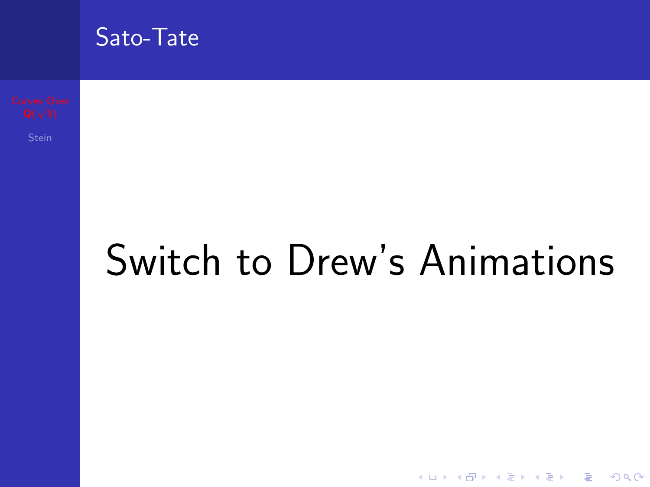

Switch to Drew's Animations

イロト イ母 トイミト イミト ニヨー りんぴ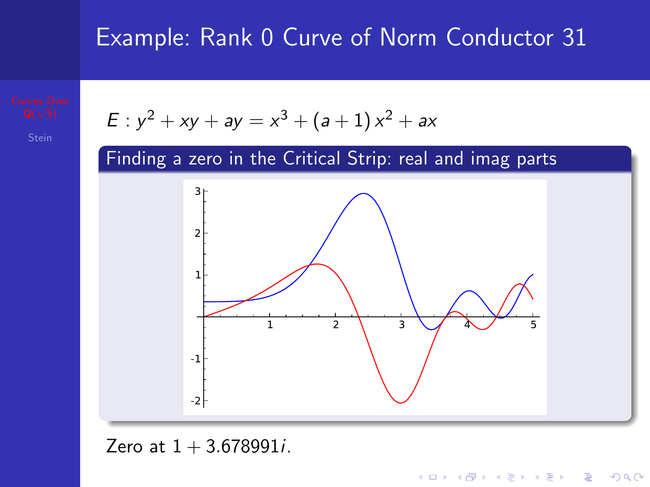





K ロ ▶ K @ ▶ K 할 ▶ K 할 ▶ 이 할 → 9 Q @

Zero at  $1 + 3.678991i$ .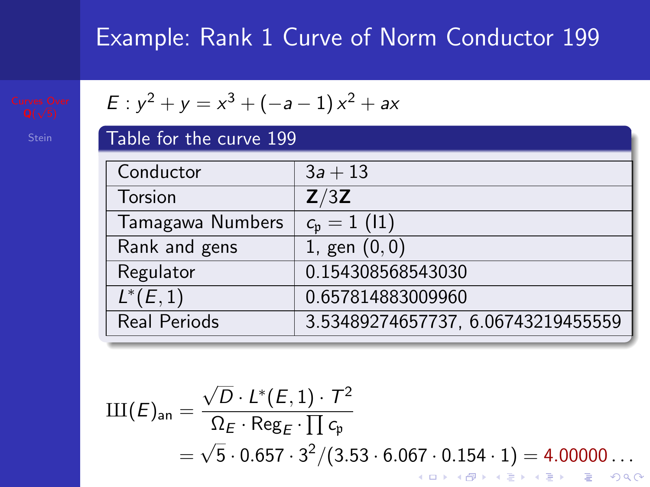| Table for the curve 199 |                                    |  |
|-------------------------|------------------------------------|--|
| Conductor               | $3a + 13$                          |  |
| Torsion                 | Z/3Z                               |  |
| Tamagawa Numbers        | $c_{\rm p} = 1$ (11)               |  |
| Rank and gens           | 1, gen $(0, 0)$                    |  |
| Regulator               | 0.154308568543030                  |  |
| $L^*(E,1)$              | 0.657814883009960                  |  |
| Real Periods            | 3.53489274657737, 6.06743219455559 |  |

$$
III(E)_{an} = \frac{\sqrt{D} \cdot L^*(E, 1) \cdot T^2}{\Omega_E \cdot \text{Reg}_E \cdot \prod c_p}
$$
  
=  $\sqrt{5} \cdot 0.657 \cdot 3^2 / (3.53 \cdot 6.067 \cdot 0.154 \cdot 1) = 4.00000...$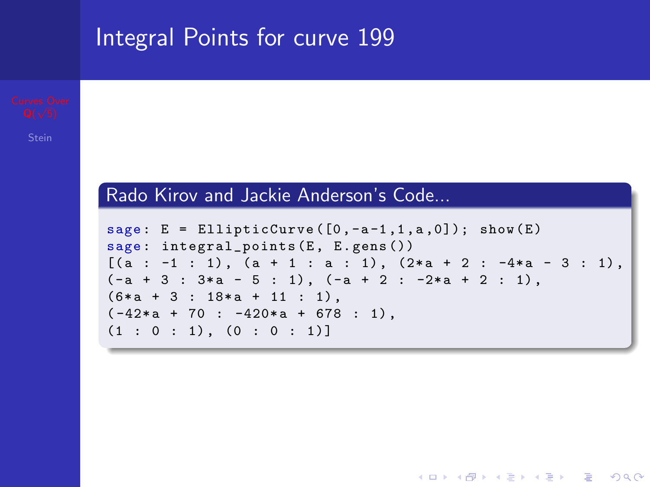#### Integral Points for curve 199

#### Rado Kirov and Jackie Anderson's Code...

```
sage: E = EllipticCurve([0, -a-1, 1, a, 0]); show(E)sage: integral_points (E, E.gens())
[(a : -1 : 1), (a + 1 : a : 1), (2*a + 2 : -4*a - 3 : 1),(-a + 3 : 3*a - 5 : 1), (-a + 2 : -2*a + 2 : 1),(6*a + 3 : 18*a + 11 : 1),(-42*a + 70 : -420*a + 678 : 1),(1 : 0 : 1), (0 : 0 : 1)]
```
**KOD KARD KED KED E YORA**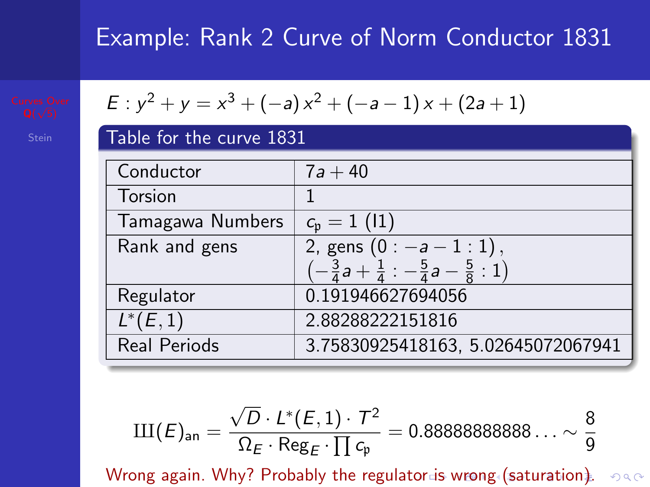$$
E: y^2 + y = x^3 + (-a)x^2 + (-a - 1)x + (2a + 1)
$$

| Table for the curve 1831 |                                                                      |  |
|--------------------------|----------------------------------------------------------------------|--|
| Conductor                | $7a + 40$                                                            |  |
| Torsion                  |                                                                      |  |
| Tamagawa Numbers         | $c_{\rm p} = 1$ (11)                                                 |  |
| Rank and gens            | 2, gens $(0: -a-1:1)$ ,                                              |  |
|                          |                                                                      |  |
| Regulator                | 0.191946627694056                                                    |  |
| $L^{*}(E, 1)$            | 2.88288222151816                                                     |  |
| Real Periods             | 3.75830925418163, 5.02645072067941                                   |  |
|                          | $\left(-\frac{3}{4}a+\frac{1}{4}:-\frac{5}{4}a-\frac{5}{8}:1\right)$ |  |

$$
\mathrm{III}(\mathcal{E})_{\text{an}}=\frac{\sqrt{D}\cdot\mathit{L}^{*}(\mathcal{E},1)\cdot\mathcal{T}^{2}}{\Omega_{\mathcal{E}}\cdot\mathsf{Reg}_{\mathcal{E}}\cdot\prod c_{\mathfrak{p}}}=0.888888888888\ldots\sim\frac{8}{9}
$$

<span id="page-31-0"></span>Wrong again. Why? Probably the regulat[or](#page-30-0) i[s](#page-32-0) [w](#page-30-0)[ro](#page-31-0)[n](#page-32-0)[g \(](#page-0-0)[sat](#page-33-0)[ur](#page-0-0)[ati](#page-33-0)[on](#page-0-0)[\).](#page-33-0)  $\circ \circ \circ$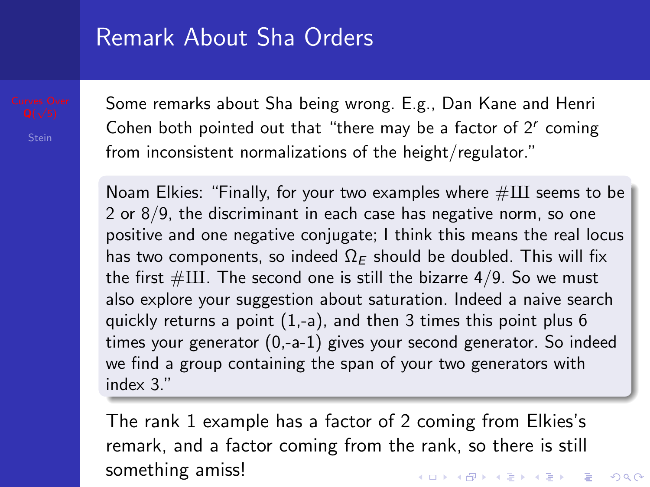#### Remark About Sha Orders

Some remarks about Sha being wrong. E.g., Dan Kane and Henri Cohen both pointed out that "there may be a factor of  $2<sup>r</sup>$  coming from inconsistent normalizations of the height/regulator."

Noam Elkies: "Finally, for your two examples where  $\#\text{III}$  seems to be 2 or 8/9, the discriminant in each case has negative norm, so one positive and one negative conjugate; I think this means the real locus has two components, so indeed  $\Omega_F$  should be doubled. This will fix the first  $\#\text{III}$ . The second one is still the bizarre 4/9. So we must also explore your suggestion about saturation. Indeed a naive search quickly returns a point (1,-a), and then 3 times this point plus 6 times your generator (0,-a-1) gives your second generator. So indeed we find a group containing the span of your two generators with index 3."

<span id="page-32-0"></span>The rank 1 example has a factor of 2 coming from Elkies's remark, and a factor coming from the rank, so there is still something amiss!4 D > 4 P + 4 B + 4 B + B + 9 Q O